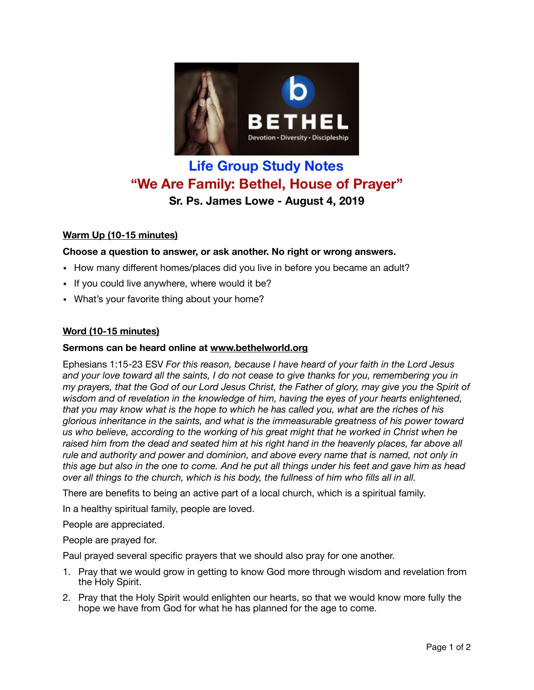

# **Life Group Study Notes "We Are Family: Bethel, House of Prayer" Sr. Ps. James Lowe - August 4, 2019**

## **Warm Up (10-15 minutes)**

## **Choose a question to answer, or ask another. No right or wrong answers.**

- How many different homes/places did you live in before you became an adult?
- If you could live anywhere, where would it be?
- What's your favorite thing about your home?

#### **Word (10-15 minutes)**

#### **Sermons can be heard online at [www.bethelworld.org](http://www.bethelworld.org)**

Ephesians 1:15-23 ESV *For this reason, because I have heard of your faith in the Lord Jesus and your love toward all the saints, I do not cease to give thanks for you, remembering you in my prayers, that the God of our Lord Jesus Christ, the Father of glory, may give you the Spirit of wisdom and of revelation in the knowledge of him, having the eyes of your hearts enlightened, that you may know what is the hope to which he has called you, what are the riches of his glorious inheritance in the saints, and what is the immeasurable greatness of his power toward us who believe, according to the working of his great might that he worked in Christ when he raised him from the dead and seated him at his right hand in the heavenly places, far above all rule and authority and power and dominion, and above every name that is named, not only in this age but also in the one to come. And he put all things under his feet and gave him as head over all things to the church, which is his body, the fullness of him who fills all in all.*

There are benefits to being an active part of a local church, which is a spiritual family.

In a healthy spiritual family, people are loved.

People are appreciated.

People are prayed for.

Paul prayed several specific prayers that we should also pray for one another.

- 1. Pray that we would grow in getting to know God more through wisdom and revelation from the Holy Spirit.
- 2. Pray that the Holy Spirit would enlighten our hearts, so that we would know more fully the hope we have from God for what he has planned for the age to come.